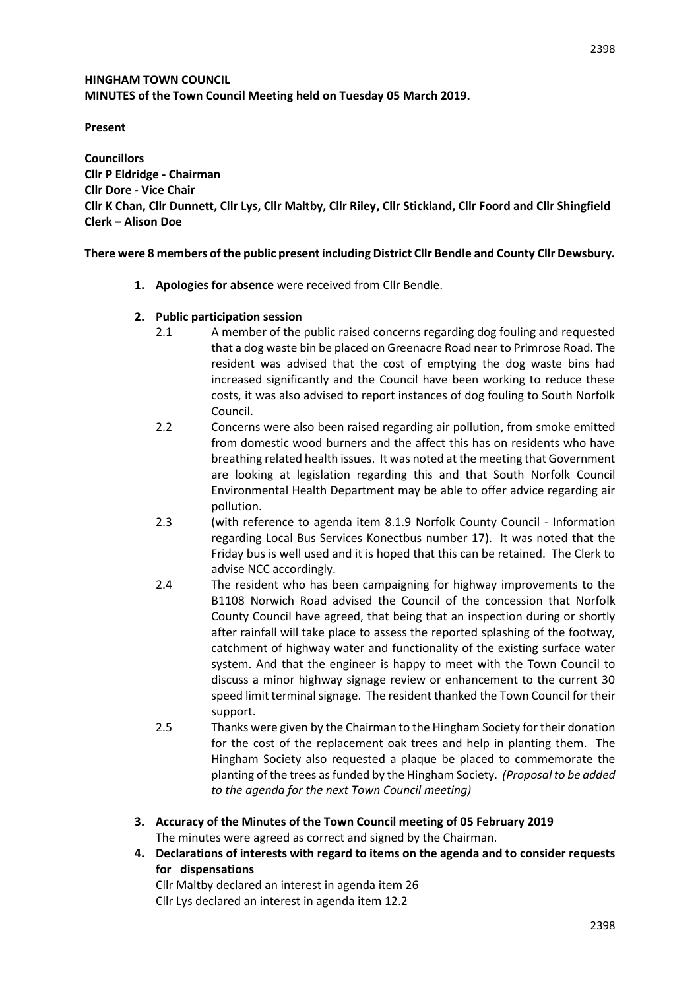# **HINGHAM TOWN COUNCIL MINUTES of the Town Council Meeting held on Tuesday 05 March 2019.**

# **Present**

**Councillors Cllr P Eldridge - Chairman Cllr Dore - Vice Chair Cllr K Chan, Cllr Dunnett, Cllr Lys, Cllr Maltby, Cllr Riley, Cllr Stickland, Cllr Foord and Cllr Shingfield Clerk – Alison Doe** 

# **There were 8 members of the public present including District Cllr Bendle and County Cllr Dewsbury.**

**1. Apologies for absence** were received from Cllr Bendle.

# **2. Public participation session**

- 2.1 A member of the public raised concerns regarding dog fouling and requested that a dog waste bin be placed on Greenacre Road near to Primrose Road. The resident was advised that the cost of emptying the dog waste bins had increased significantly and the Council have been working to reduce these costs, it was also advised to report instances of dog fouling to South Norfolk Council.
- 2.2 Concerns were also been raised regarding air pollution, from smoke emitted from domestic wood burners and the affect this has on residents who have breathing related health issues. It was noted at the meeting that Government are looking at legislation regarding this and that South Norfolk Council Environmental Health Department may be able to offer advice regarding air pollution.
- 2.3 (with reference to agenda item 8.1.9 Norfolk County Council Information regarding Local Bus Services Konectbus number 17). It was noted that the Friday bus is well used and it is hoped that this can be retained. The Clerk to advise NCC accordingly.
- 2.4 The resident who has been campaigning for highway improvements to the B1108 Norwich Road advised the Council of the concession that Norfolk County Council have agreed, that being that an inspection during or shortly after rainfall will take place to assess the reported splashing of the footway, catchment of highway water and functionality of the existing surface water system. And that the engineer is happy to meet with the Town Council to discuss a minor highway signage review or enhancement to the current 30 speed limit terminal signage. The resident thanked the Town Council for their support.
- 2.5 Thanks were given by the Chairman to the Hingham Society for their donation for the cost of the replacement oak trees and help in planting them. The Hingham Society also requested a plaque be placed to commemorate the planting of the trees as funded by the Hingham Society. *(Proposal to be added to the agenda for the next Town Council meeting)*
- **3. Accuracy of the Minutes of the Town Council meeting of 05 February 2019** The minutes were agreed as correct and signed by the Chairman.
- **4. Declarations of interests with regard to items on the agenda and to consider requests for dispensations**
	- Cllr Maltby declared an interest in agenda item 26 Cllr Lys declared an interest in agenda item 12.2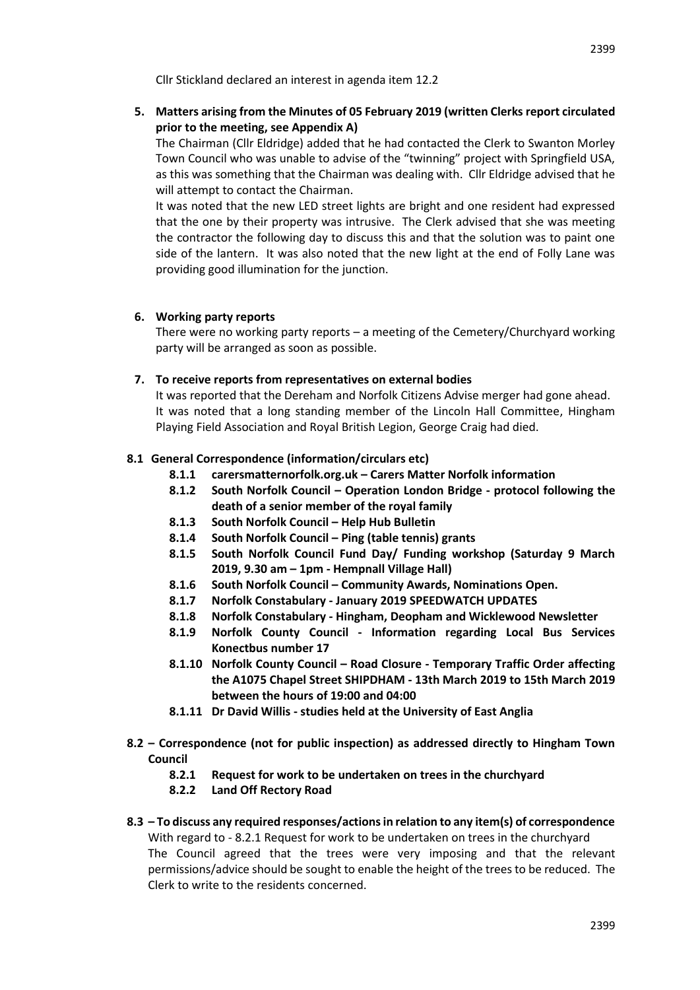Cllr Stickland declared an interest in agenda item 12.2

**5. Matters arising from the Minutes of 05 February 2019 (written Clerks report circulated prior to the meeting, see Appendix A)**

The Chairman (Cllr Eldridge) added that he had contacted the Clerk to Swanton Morley Town Council who was unable to advise of the "twinning" project with Springfield USA, as this was something that the Chairman was dealing with. Cllr Eldridge advised that he will attempt to contact the Chairman.

It was noted that the new LED street lights are bright and one resident had expressed that the one by their property was intrusive. The Clerk advised that she was meeting the contractor the following day to discuss this and that the solution was to paint one side of the lantern. It was also noted that the new light at the end of Folly Lane was providing good illumination for the junction.

#### **6. Working party reports**

There were no working party reports – a meeting of the Cemetery/Churchyard working party will be arranged as soon as possible.

#### **7. To receive reports from representatives on external bodies**

It was reported that the Dereham and Norfolk Citizens Advise merger had gone ahead. It was noted that a long standing member of the Lincoln Hall Committee, Hingham Playing Field Association and Royal British Legion, George Craig had died.

#### **8.1 General Correspondence (information/circulars etc)**

- **8.1.1 carersmatternorfolk.org.uk – Carers Matter Norfolk information**
- **8.1.2 South Norfolk Council – Operation London Bridge - protocol following the death of a senior member of the royal family**
- **8.1.3 South Norfolk Council – Help Hub Bulletin**
- **8.1.4 South Norfolk Council – Ping (table tennis) grants**
- **8.1.5 South Norfolk Council Fund Day/ Funding workshop (Saturday 9 March 2019, 9.30 am – 1pm - Hempnall Village Hall)**
- **8.1.6 South Norfolk Council – Community Awards, Nominations Open.**
- **8.1.7 Norfolk Constabulary - January 2019 SPEEDWATCH UPDATES**
- **8.1.8 Norfolk Constabulary - Hingham, Deopham and Wicklewood Newsletter**
- **8.1.9 Norfolk County Council - Information regarding Local Bus Services Konectbus number 17**
- **8.1.10 Norfolk County Council – Road Closure - Temporary Traffic Order affecting the A1075 Chapel Street SHIPDHAM - 13th March 2019 to 15th March 2019 between the hours of 19:00 and 04:00**
- **8.1.11 Dr David Willis - studies held at the University of East Anglia**
- **8.2 – Correspondence (not for public inspection) as addressed directly to Hingham Town Council**
	- **8.2.1 Request for work to be undertaken on trees in the churchyard**
	- **8.2.2 Land Off Rectory Road**

# **8.3 – To discuss any required responses/actions in relation to any item(s) of correspondence**  With regard to - 8.2.1 Request for work to be undertaken on trees in the churchyard The Council agreed that the trees were very imposing and that the relevant permissions/advice should be sought to enable the height of the treesto be reduced. The Clerk to write to the residents concerned.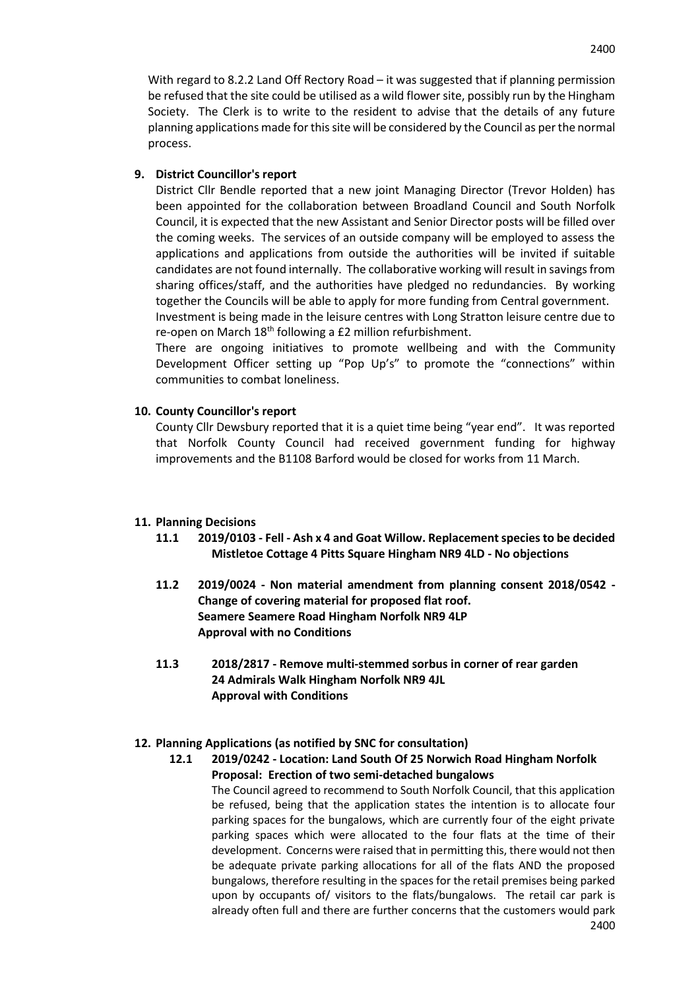With regard to 8.2.2 Land Off Rectory Road – it was suggested that if planning permission be refused that the site could be utilised as a wild flower site, possibly run by the Hingham Society. The Clerk is to write to the resident to advise that the details of any future planning applications made for this site will be considered by the Council as per the normal process.

# **9. District Councillor's report**

District Cllr Bendle reported that a new joint Managing Director (Trevor Holden) has been appointed for the collaboration between Broadland Council and South Norfolk Council, it is expected that the new Assistant and Senior Director posts will be filled over the coming weeks. The services of an outside company will be employed to assess the applications and applications from outside the authorities will be invited if suitable candidates are not found internally. The collaborative working will result in savings from sharing offices/staff, and the authorities have pledged no redundancies. By working together the Councils will be able to apply for more funding from Central government. Investment is being made in the leisure centres with Long Stratton leisure centre due to

re-open on March  $18<sup>th</sup>$  following a £2 million refurbishment.

There are ongoing initiatives to promote wellbeing and with the Community Development Officer setting up "Pop Up's" to promote the "connections" within communities to combat loneliness.

# **10. County Councillor's report**

County Cllr Dewsbury reported that it is a quiet time being "year end". It was reported that Norfolk County Council had received government funding for highway improvements and the B1108 Barford would be closed for works from 11 March.

#### **11. Planning Decisions**

- **11.1 2019/0103 - Fell - Ash x 4 and Goat Willow. Replacement species to be decided Mistletoe Cottage 4 Pitts Square Hingham NR9 4LD - No objections**
- **11.2 2019/0024 - Non material amendment from planning consent 2018/0542 - Change of covering material for proposed flat roof. Seamere Seamere Road Hingham Norfolk NR9 4LP Approval with no Conditions**
- **11.3 2018/2817 - Remove multi-stemmed sorbus in corner of rear garden 24 Admirals Walk Hingham Norfolk NR9 4JL Approval with Conditions**

#### **12. Planning Applications (as notified by SNC for consultation)**

**12.1 2019/0242 - Location: Land South Of 25 Norwich Road Hingham Norfolk Proposal: Erection of two semi-detached bungalows**

2400 The Council agreed to recommend to South Norfolk Council, that this application be refused, being that the application states the intention is to allocate four parking spaces for the bungalows, which are currently four of the eight private parking spaces which were allocated to the four flats at the time of their development. Concerns were raised that in permitting this, there would not then be adequate private parking allocations for all of the flats AND the proposed bungalows, therefore resulting in the spaces for the retail premises being parked upon by occupants of/ visitors to the flats/bungalows. The retail car park is already often full and there are further concerns that the customers would park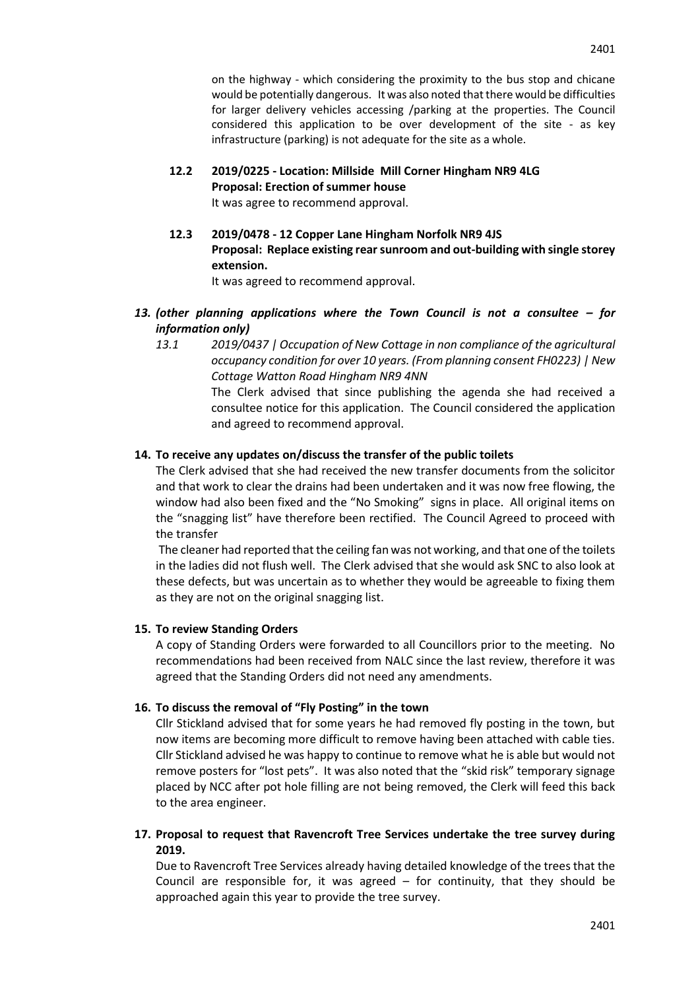on the highway - which considering the proximity to the bus stop and chicane would be potentially dangerous. It was also noted that there would be difficulties for larger delivery vehicles accessing /parking at the properties. The Council considered this application to be over development of the site - as key infrastructure (parking) is not adequate for the site as a whole.

# **12.2 2019/0225 - Location: Millside Mill Corner Hingham NR9 4LG Proposal: Erection of summer house**

It was agree to recommend approval.

**12.3 2019/0478 - 12 Copper Lane Hingham Norfolk NR9 4JS Proposal: Replace existing rear sunroom and out-building with single storey extension.**

It was agreed to recommend approval.

- *13. (other planning applications where the Town Council is not a consultee – for information only)*
	- *13.1 2019/0437 | Occupation of New Cottage in non compliance of the agricultural occupancy condition for over 10 years. (From planning consent FH0223) | New Cottage Watton Road Hingham NR9 4NN* The Clerk advised that since publishing the agenda she had received a

consultee notice for this application. The Council considered the application and agreed to recommend approval.

# **14. To receive any updates on/discuss the transfer of the public toilets**

The Clerk advised that she had received the new transfer documents from the solicitor and that work to clear the drains had been undertaken and it was now free flowing, the window had also been fixed and the "No Smoking" signs in place. All original items on the "snagging list" have therefore been rectified. The Council Agreed to proceed with the transfer

The cleaner had reported that the ceiling fan was not working, and that one of the toilets in the ladies did not flush well. The Clerk advised that she would ask SNC to also look at these defects, but was uncertain as to whether they would be agreeable to fixing them as they are not on the original snagging list.

#### **15. To review Standing Orders**

A copy of Standing Orders were forwarded to all Councillors prior to the meeting. No recommendations had been received from NALC since the last review, therefore it was agreed that the Standing Orders did not need any amendments.

#### **16. To discuss the removal of "Fly Posting" in the town**

Cllr Stickland advised that for some years he had removed fly posting in the town, but now items are becoming more difficult to remove having been attached with cable ties. Cllr Stickland advised he was happy to continue to remove what he is able but would not remove posters for "lost pets". It was also noted that the "skid risk" temporary signage placed by NCC after pot hole filling are not being removed, the Clerk will feed this back to the area engineer.

# **17. Proposal to request that Ravencroft Tree Services undertake the tree survey during 2019.**

Due to Ravencroft Tree Services already having detailed knowledge of the trees that the Council are responsible for, it was agreed  $-$  for continuity, that they should be approached again this year to provide the tree survey.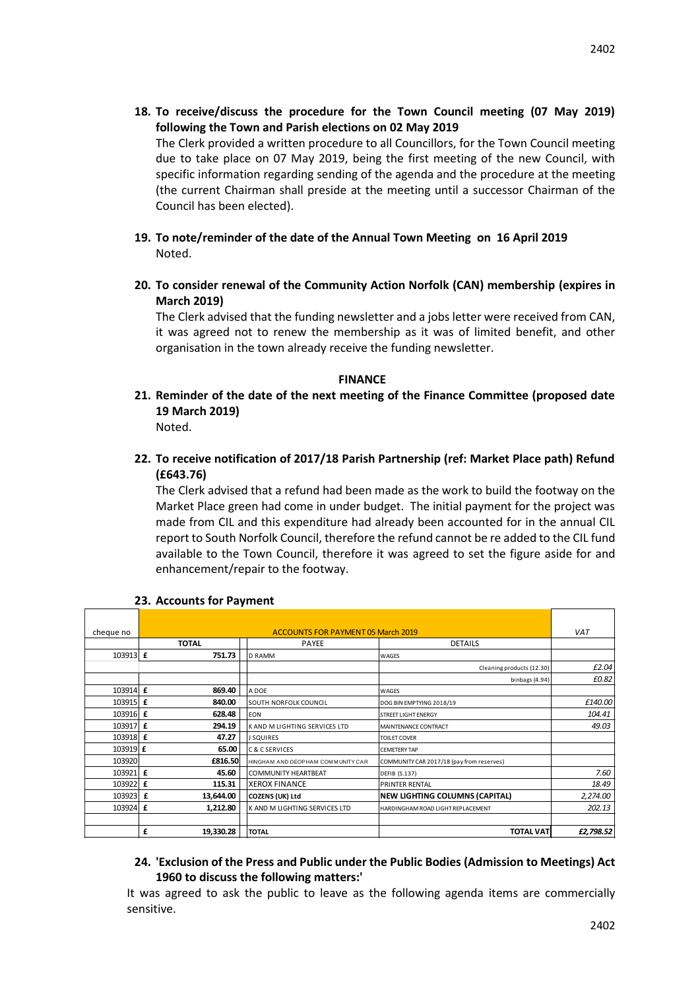**18. To receive/discuss the procedure for the Town Council meeting (07 May 2019) following the Town and Parish elections on 02 May 2019**

The Clerk provided a written procedure to all Councillors, for the Town Council meeting due to take place on 07 May 2019, being the first meeting of the new Council, with specific information regarding sending of the agenda and the procedure at the meeting (the current Chairman shall preside at the meeting until a successor Chairman of the Council has been elected).

- **19. To note/reminder of the date of the Annual Town Meeting on 16 April 2019** Noted.
- **20. To consider renewal of the Community Action Norfolk (CAN) membership (expires in March 2019)**

The Clerk advised that the funding newsletter and a jobs letter were received from CAN, it was agreed not to renew the membership as it was of limited benefit, and other organisation in the town already receive the funding newsletter.

#### **FINANCE**

**21. Reminder of the date of the next meeting of the Finance Committee (proposed date 19 March 2019)**

Noted.

**22. To receive notification of 2017/18 Parish Partnership (ref: Market Place path) Refund (£643.76)**

The Clerk advised that a refund had been made as the work to build the footway on the Market Place green had come in under budget. The initial payment for the project was made from CIL and this expenditure had already been accounted for in the annual CIL report to South Norfolk Council, therefore the refund cannot be re added to the CIL fund available to the Town Council, therefore it was agreed to set the figure aside for and enhancement/repair to the footway.

| cheque no | <b>ACCOUNTS FOR PAYMENT 05 March 2019</b> |                                        | <b>VAT</b>                                                                                 |           |
|-----------|-------------------------------------------|----------------------------------------|--------------------------------------------------------------------------------------------|-----------|
|           | <b>TOTAL</b>                              | <b>PAYEE</b>                           | <b>DETAILS</b>                                                                             |           |
| 103913 £  | 751.73                                    | <b>D RAMM</b>                          | <b>WAGES</b>                                                                               |           |
|           |                                           |                                        | Cleaning products (12.30)                                                                  | £2.04     |
|           |                                           |                                        | binbags (4.94)                                                                             | £0.82     |
| 103914 f  | 869.40                                    | A DOF                                  | WAGES                                                                                      |           |
| 103915 £  | 840.00                                    | SOUTH NORFOLK COUNCIL                  | DOG BIN EMPTYING 2018/19                                                                   | £140.00   |
| 103916 £  | 628.48                                    | <b>FON</b>                             | <b>STREET LIGHT ENERGY</b>                                                                 | 104.41    |
| 103917 £  | 294.19                                    | K AND M LIGHTING SERVICES LTD          | MAINTENANCE CONTRACT                                                                       | 49.03     |
| 103918 f  | 47.27                                     | <b>J SQUIRES</b>                       | TOILFT COVER                                                                               |           |
| 103919 £  | 65.00                                     | C & C SERVICES                         | <b>CEMETERY TAP</b>                                                                        |           |
| 103920    | £816.50                                   | HINGHAM AND DEOPHAM COMMUNITY CAR      | COMMUNITY CAR 2017/18 (pay from reserves)                                                  |           |
| 103921 £  | 45.60                                     | <b>COMMUNITY HEARTBEAT</b>             | <b>DEFIB (S.137)</b>                                                                       | 7.60      |
| 103922 £  | 115.31                                    | <b>XEROX FINANCE</b>                   | PRINTER RENTAL                                                                             | 18.49     |
| 103923 £  | 13,644.00                                 | <b>COZENS (UK) Ltd</b>                 | <b>NEW LIGHTING COLUMNS (CAPITAL)</b>                                                      | 2,274.00  |
| 103924 £  | 1,212.80                                  | K AND M LIGHTING SERVICES LTD          | HARDINGHAM ROAD LIGHT REPLACEMENT                                                          | 202.13    |
|           |                                           |                                        |                                                                                            |           |
|           | £<br>19,330.28                            | <b>TOTAL</b>                           | <b>TOTAL VAT</b>                                                                           | £2,798.52 |
|           |                                           |                                        |                                                                                            |           |
|           |                                           |                                        |                                                                                            |           |
|           |                                           |                                        | 24. 'Exclusion of the Press and Public under the Public Bodies (Admission to Meetings) Act |           |
|           |                                           | 1960 to discuss the following matters: |                                                                                            |           |
|           |                                           |                                        | It was agreed to ask the public to leave as the following agenda items are commercially    |           |
|           |                                           |                                        |                                                                                            |           |
|           | sensitive.                                |                                        |                                                                                            |           |

#### **23. Accounts for Payment**

# **24. 'Exclusion of the Press and Public under the Public Bodies (Admission to Meetings) Act 1960 to discuss the following matters:'**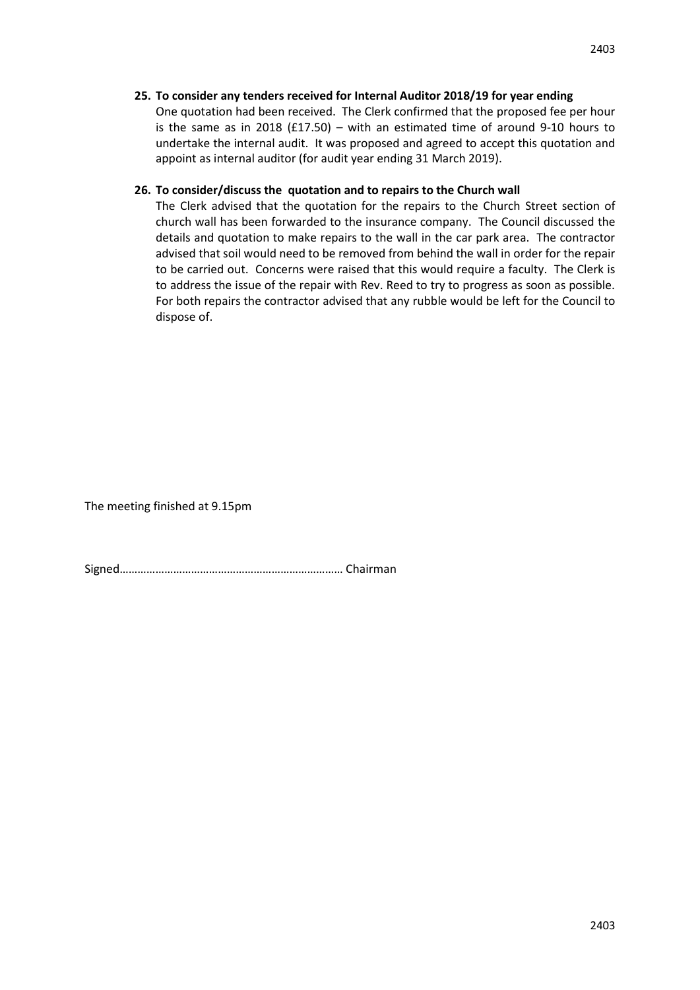# **25. To consider any tenders received for Internal Auditor 2018/19 for year ending**

One quotation had been received. The Clerk confirmed that the proposed fee per hour is the same as in 2018 ( $f17.50$ ) – with an estimated time of around 9-10 hours to undertake the internal audit. It was proposed and agreed to accept this quotation and appoint as internal auditor (for audit year ending 31 March 2019).

#### **26. To consider/discuss the quotation and to repairs to the Church wall**

The Clerk advised that the quotation for the repairs to the Church Street section of church wall has been forwarded to the insurance company. The Council discussed the details and quotation to make repairs to the wall in the car park area. The contractor advised that soil would need to be removed from behind the wall in order for the repair to be carried out. Concerns were raised that this would require a faculty. The Clerk is to address the issue of the repair with Rev. Reed to try to progress as soon as possible. For both repairs the contractor advised that any rubble would be left for the Council to dispose of.

The meeting finished at 9.15pm

Signed………………………………………………………………… Chairman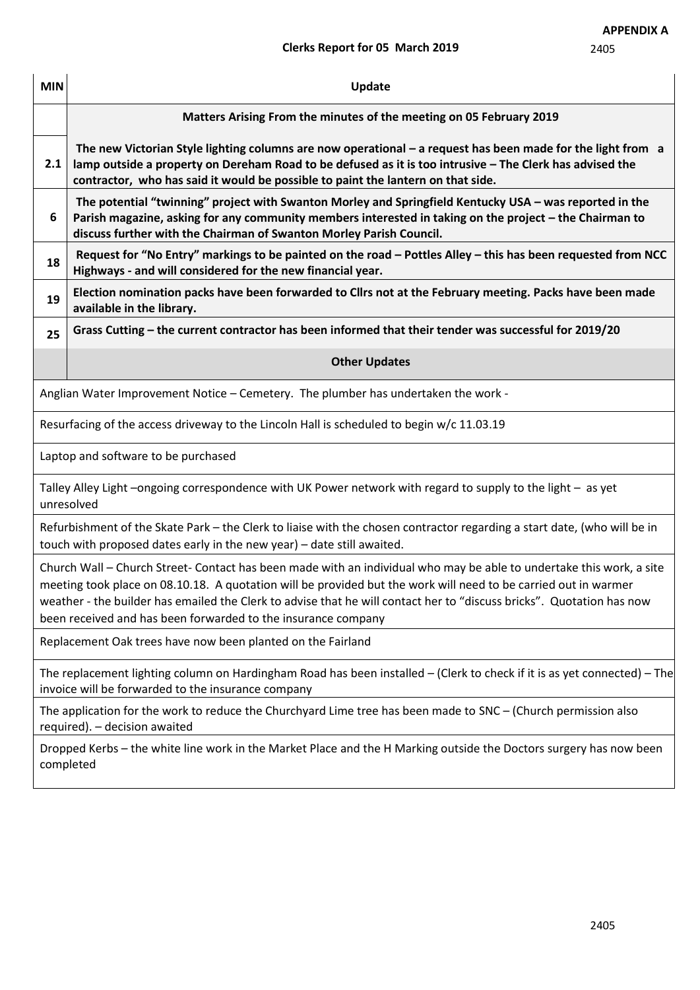# **Clerks Report for 05 March 2019**

| <b>MIN</b>                                                                                                                                                                                                                                                                                                                                                                                                                        | Update                                                                                                                                                                                                                                                                                                        |  |  |  |  |
|-----------------------------------------------------------------------------------------------------------------------------------------------------------------------------------------------------------------------------------------------------------------------------------------------------------------------------------------------------------------------------------------------------------------------------------|---------------------------------------------------------------------------------------------------------------------------------------------------------------------------------------------------------------------------------------------------------------------------------------------------------------|--|--|--|--|
|                                                                                                                                                                                                                                                                                                                                                                                                                                   | Matters Arising From the minutes of the meeting on 05 February 2019                                                                                                                                                                                                                                           |  |  |  |  |
| 2.1                                                                                                                                                                                                                                                                                                                                                                                                                               | The new Victorian Style lighting columns are now operational $-$ a request has been made for the light from a<br>lamp outside a property on Dereham Road to be defused as it is too intrusive - The Clerk has advised the<br>contractor, who has said it would be possible to paint the lantern on that side. |  |  |  |  |
| 6                                                                                                                                                                                                                                                                                                                                                                                                                                 | The potential "twinning" project with Swanton Morley and Springfield Kentucky USA - was reported in the<br>Parish magazine, asking for any community members interested in taking on the project - the Chairman to<br>discuss further with the Chairman of Swanton Morley Parish Council.                     |  |  |  |  |
| 18                                                                                                                                                                                                                                                                                                                                                                                                                                | Request for "No Entry" markings to be painted on the road - Pottles Alley - this has been requested from NCC<br>Highways - and will considered for the new financial year.                                                                                                                                    |  |  |  |  |
| 19                                                                                                                                                                                                                                                                                                                                                                                                                                | Election nomination packs have been forwarded to Cllrs not at the February meeting. Packs have been made<br>available in the library.                                                                                                                                                                         |  |  |  |  |
| 25                                                                                                                                                                                                                                                                                                                                                                                                                                | Grass Cutting - the current contractor has been informed that their tender was successful for 2019/20                                                                                                                                                                                                         |  |  |  |  |
|                                                                                                                                                                                                                                                                                                                                                                                                                                   | <b>Other Updates</b>                                                                                                                                                                                                                                                                                          |  |  |  |  |
| Anglian Water Improvement Notice - Cemetery. The plumber has undertaken the work -                                                                                                                                                                                                                                                                                                                                                |                                                                                                                                                                                                                                                                                                               |  |  |  |  |
| Resurfacing of the access driveway to the Lincoln Hall is scheduled to begin w/c 11.03.19                                                                                                                                                                                                                                                                                                                                         |                                                                                                                                                                                                                                                                                                               |  |  |  |  |
| Laptop and software to be purchased                                                                                                                                                                                                                                                                                                                                                                                               |                                                                                                                                                                                                                                                                                                               |  |  |  |  |
| Talley Alley Light -ongoing correspondence with UK Power network with regard to supply to the light - as yet<br>unresolved                                                                                                                                                                                                                                                                                                        |                                                                                                                                                                                                                                                                                                               |  |  |  |  |
| Refurbishment of the Skate Park - the Clerk to liaise with the chosen contractor regarding a start date, (who will be in<br>touch with proposed dates early in the new year) - date still awaited.                                                                                                                                                                                                                                |                                                                                                                                                                                                                                                                                                               |  |  |  |  |
| Church Wall – Church Street- Contact has been made with an individual who may be able to undertake this work, a site<br>meeting took place on 08.10.18. A quotation will be provided but the work will need to be carried out in warmer<br>weather - the builder has emailed the Clerk to advise that he will contact her to "discuss bricks". Quotation has now<br>been received and has been forwarded to the insurance company |                                                                                                                                                                                                                                                                                                               |  |  |  |  |
| Replacement Oak trees have now been planted on the Fairland                                                                                                                                                                                                                                                                                                                                                                       |                                                                                                                                                                                                                                                                                                               |  |  |  |  |
| The replacement lighting column on Hardingham Road has been installed – (Clerk to check if it is as yet connected) – The<br>invoice will be forwarded to the insurance company                                                                                                                                                                                                                                                    |                                                                                                                                                                                                                                                                                                               |  |  |  |  |
| The application for the work to reduce the Churchyard Lime tree has been made to SNC - (Church permission also<br>required). - decision awaited                                                                                                                                                                                                                                                                                   |                                                                                                                                                                                                                                                                                                               |  |  |  |  |
|                                                                                                                                                                                                                                                                                                                                                                                                                                   | Dropped Kerbs - the white line work in the Market Place and the H Marking outside the Doctors surgery has now been<br>completed                                                                                                                                                                               |  |  |  |  |